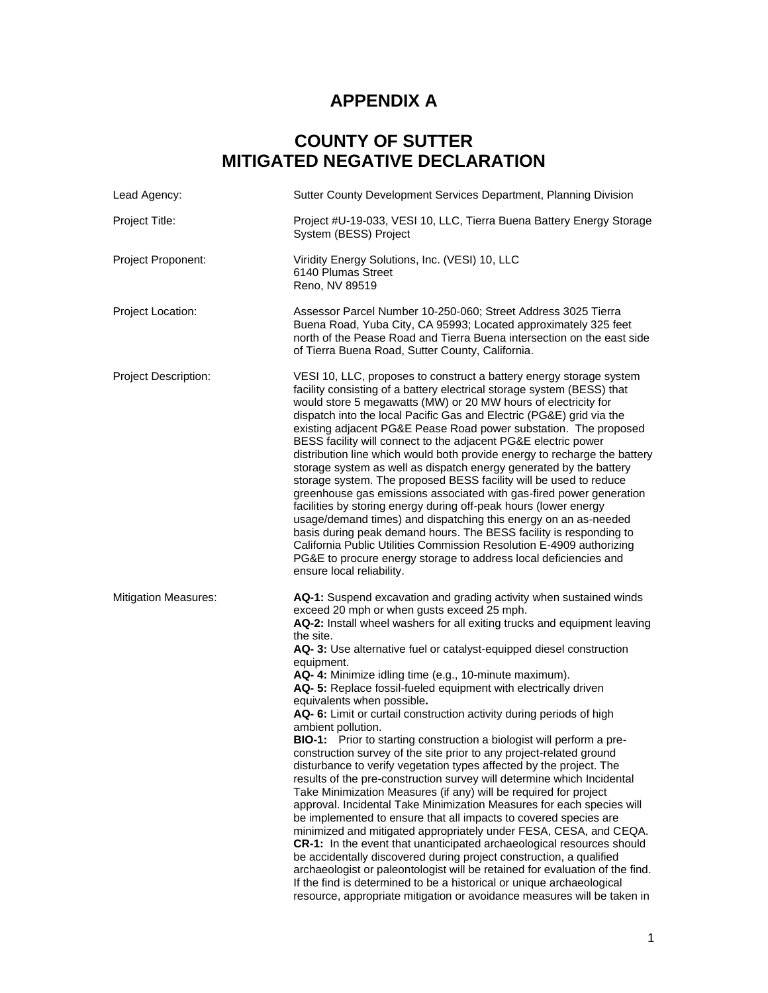## **APPENDIX A**

## **COUNTY OF SUTTER MITIGATED NEGATIVE DECLARATION**

| Lead Agency:                | Sutter County Development Services Department, Planning Division                                                                                                                                                                                                                                                                                                                                                                                                                                                                                                                                                                                                                                                                                                                                                                                                                                                                                                                                                                                                                                                                                                                                                                                                                                                                                                                                                                                                                                                                          |
|-----------------------------|-------------------------------------------------------------------------------------------------------------------------------------------------------------------------------------------------------------------------------------------------------------------------------------------------------------------------------------------------------------------------------------------------------------------------------------------------------------------------------------------------------------------------------------------------------------------------------------------------------------------------------------------------------------------------------------------------------------------------------------------------------------------------------------------------------------------------------------------------------------------------------------------------------------------------------------------------------------------------------------------------------------------------------------------------------------------------------------------------------------------------------------------------------------------------------------------------------------------------------------------------------------------------------------------------------------------------------------------------------------------------------------------------------------------------------------------------------------------------------------------------------------------------------------------|
| Project Title:              | Project #U-19-033, VESI 10, LLC, Tierra Buena Battery Energy Storage<br>System (BESS) Project                                                                                                                                                                                                                                                                                                                                                                                                                                                                                                                                                                                                                                                                                                                                                                                                                                                                                                                                                                                                                                                                                                                                                                                                                                                                                                                                                                                                                                             |
| Project Proponent:          | Viridity Energy Solutions, Inc. (VESI) 10, LLC<br>6140 Plumas Street<br>Reno, NV 89519                                                                                                                                                                                                                                                                                                                                                                                                                                                                                                                                                                                                                                                                                                                                                                                                                                                                                                                                                                                                                                                                                                                                                                                                                                                                                                                                                                                                                                                    |
| Project Location:           | Assessor Parcel Number 10-250-060; Street Address 3025 Tierra<br>Buena Road, Yuba City, CA 95993; Located approximately 325 feet<br>north of the Pease Road and Tierra Buena intersection on the east side<br>of Tierra Buena Road, Sutter County, California.                                                                                                                                                                                                                                                                                                                                                                                                                                                                                                                                                                                                                                                                                                                                                                                                                                                                                                                                                                                                                                                                                                                                                                                                                                                                            |
| <b>Project Description:</b> | VESI 10, LLC, proposes to construct a battery energy storage system<br>facility consisting of a battery electrical storage system (BESS) that<br>would store 5 megawatts (MW) or 20 MW hours of electricity for<br>dispatch into the local Pacific Gas and Electric (PG&E) grid via the<br>existing adjacent PG&E Pease Road power substation. The proposed<br>BESS facility will connect to the adjacent PG&E electric power<br>distribution line which would both provide energy to recharge the battery<br>storage system as well as dispatch energy generated by the battery<br>storage system. The proposed BESS facility will be used to reduce<br>greenhouse gas emissions associated with gas-fired power generation<br>facilities by storing energy during off-peak hours (lower energy<br>usage/demand times) and dispatching this energy on an as-needed<br>basis during peak demand hours. The BESS facility is responding to<br>California Public Utilities Commission Resolution E-4909 authorizing<br>PG&E to procure energy storage to address local deficiencies and<br>ensure local reliability.                                                                                                                                                                                                                                                                                                                                                                                                                        |
| <b>Mitigation Measures:</b> | AQ-1: Suspend excavation and grading activity when sustained winds<br>exceed 20 mph or when gusts exceed 25 mph.<br>AQ-2: Install wheel washers for all exiting trucks and equipment leaving<br>the site.<br>AQ-3: Use alternative fuel or catalyst-equipped diesel construction<br>equipment.<br>AQ- 4: Minimize idling time (e.g., 10-minute maximum).<br>AQ- 5: Replace fossil-fueled equipment with electrically driven<br>equivalents when possible.<br>AQ- 6: Limit or curtail construction activity during periods of high<br>ambient pollution.<br><b>BIO-1:</b> Prior to starting construction a biologist will perform a pre-<br>construction survey of the site prior to any project-related ground<br>disturbance to verify vegetation types affected by the project. The<br>results of the pre-construction survey will determine which Incidental<br>Take Minimization Measures (if any) will be required for project<br>approval. Incidental Take Minimization Measures for each species will<br>be implemented to ensure that all impacts to covered species are<br>minimized and mitigated appropriately under FESA, CESA, and CEQA.<br>CR-1: In the event that unanticipated archaeological resources should<br>be accidentally discovered during project construction, a qualified<br>archaeologist or paleontologist will be retained for evaluation of the find.<br>If the find is determined to be a historical or unique archaeological<br>resource, appropriate mitigation or avoidance measures will be taken in |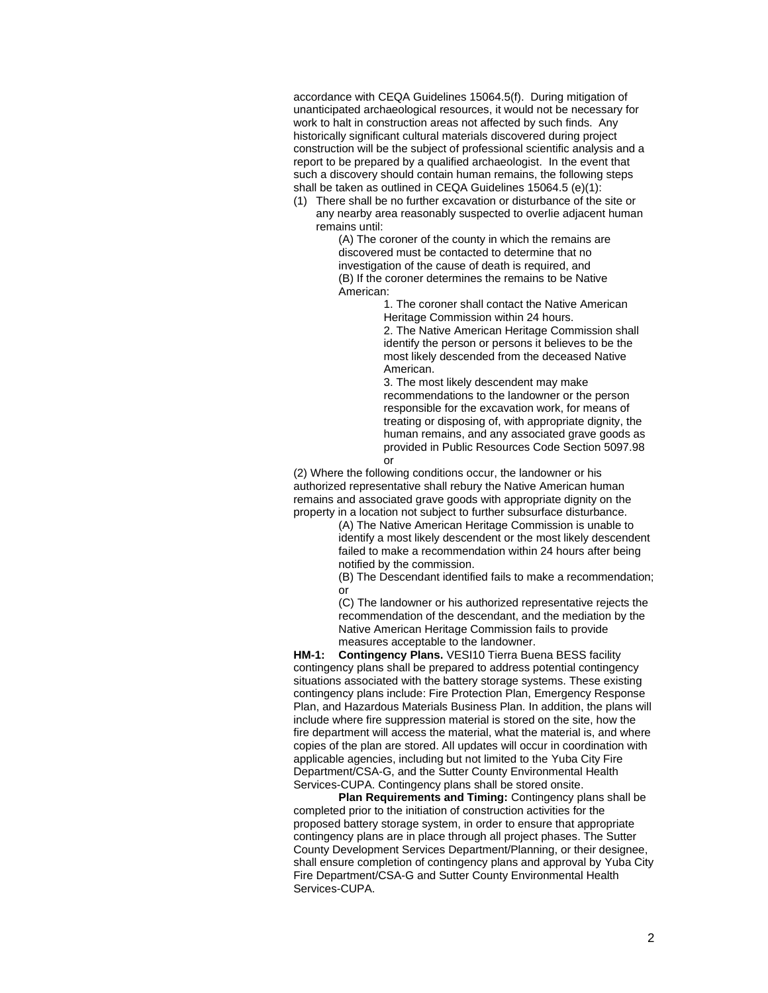accordance with CEQA Guidelines 15064.5(f). During mitigation of unanticipated archaeological resources, it would not be necessary for work to halt in construction areas not affected by such finds. Any historically significant cultural materials discovered during project construction will be the subject of professional scientific analysis and a report to be prepared by a qualified archaeologist. In the event that such a discovery should contain human remains, the following steps shall be taken as outlined in CEQA Guidelines 15064.5 (e)(1):

(1) There shall be no further excavation or disturbance of the site or any nearby area reasonably suspected to overlie adjacent human remains until:

> (A) The coroner of the county in which the remains are discovered must be contacted to determine that no investigation of the cause of death is required, and (B) If the coroner determines the remains to be Native American:

> > 1. The coroner shall contact the Native American Heritage Commission within 24 hours.

2. The Native American Heritage Commission shall identify the person or persons it believes to be the most likely descended from the deceased Native American.

3. The most likely descendent may make recommendations to the landowner or the person responsible for the excavation work, for means of treating or disposing of, with appropriate dignity, the human remains, and any associated grave goods as provided in Public Resources Code Section 5097.98 or

(2) Where the following conditions occur, the landowner or his authorized representative shall rebury the Native American human remains and associated grave goods with appropriate dignity on the property in a location not subject to further subsurface disturbance.

(A) The Native American Heritage Commission is unable to identify a most likely descendent or the most likely descendent failed to make a recommendation within 24 hours after being notified by the commission.

(B) The Descendant identified fails to make a recommendation; or

(C) The landowner or his authorized representative rejects the recommendation of the descendant, and the mediation by the Native American Heritage Commission fails to provide measures acceptable to the landowner.

**HM-1: Contingency Plans.** VESI10 Tierra Buena BESS facility contingency plans shall be prepared to address potential contingency situations associated with the battery storage systems. These existing contingency plans include: Fire Protection Plan, Emergency Response Plan, and Hazardous Materials Business Plan. In addition, the plans will include where fire suppression material is stored on the site, how the fire department will access the material, what the material is, and where copies of the plan are stored. All updates will occur in coordination with applicable agencies, including but not limited to the Yuba City Fire Department/CSA-G, and the Sutter County Environmental Health Services-CUPA. Contingency plans shall be stored onsite.

**Plan Requirements and Timing:** Contingency plans shall be completed prior to the initiation of construction activities for the proposed battery storage system, in order to ensure that appropriate contingency plans are in place through all project phases. The Sutter County Development Services Department/Planning, or their designee, shall ensure completion of contingency plans and approval by Yuba City Fire Department/CSA-G and Sutter County Environmental Health Services-CUPA.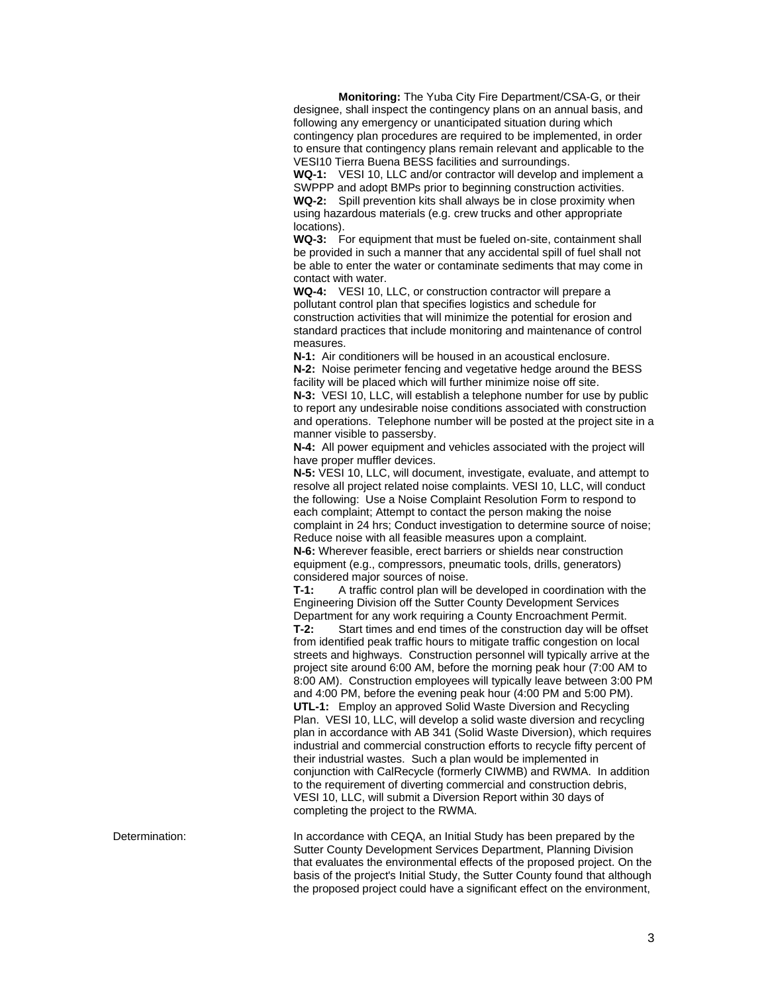**Monitoring:** The Yuba City Fire Department/CSA-G, or their designee, shall inspect the contingency plans on an annual basis, and following any emergency or unanticipated situation during which contingency plan procedures are required to be implemented, in order to ensure that contingency plans remain relevant and applicable to the VESI10 Tierra Buena BESS facilities and surroundings.

**WQ-1:** VESI 10, LLC and/or contractor will develop and implement a SWPPP and adopt BMPs prior to beginning construction activities. **WQ-2:** Spill prevention kits shall always be in close proximity when using hazardous materials (e.g. crew trucks and other appropriate locations).

**WQ-3:** For equipment that must be fueled on-site, containment shall be provided in such a manner that any accidental spill of fuel shall not be able to enter the water or contaminate sediments that may come in contact with water.

**WQ-4:** VESI 10, LLC, or construction contractor will prepare a pollutant control plan that specifies logistics and schedule for construction activities that will minimize the potential for erosion and standard practices that include monitoring and maintenance of control measures.

**N-1:** Air conditioners will be housed in an acoustical enclosure. **N-2:** Noise perimeter fencing and vegetative hedge around the BESS facility will be placed which will further minimize noise off site.

**N-3:** VESI 10, LLC, will establish a telephone number for use by public to report any undesirable noise conditions associated with construction and operations. Telephone number will be posted at the project site in a manner visible to passersby.

**N-4:** All power equipment and vehicles associated with the project will have proper muffler devices.

**N-5:** VESI 10, LLC, will document, investigate, evaluate, and attempt to resolve all project related noise complaints. VESI 10, LLC, will conduct the following: Use a Noise Complaint Resolution Form to respond to each complaint; Attempt to contact the person making the noise complaint in 24 hrs; Conduct investigation to determine source of noise; Reduce noise with all feasible measures upon a complaint.

**N-6:** Wherever feasible, erect barriers or shields near construction equipment (e.g., compressors, pneumatic tools, drills, generators) considered major sources of noise.

**T-1:** A traffic control plan will be developed in coordination with the Engineering Division off the Sutter County Development Services Department for any work requiring a County Encroachment Permit.

**T-2:** Start times and end times of the construction day will be offset from identified peak traffic hours to mitigate traffic congestion on local streets and highways. Construction personnel will typically arrive at the project site around 6:00 AM, before the morning peak hour (7:00 AM to 8:00 AM). Construction employees will typically leave between 3:00 PM and 4:00 PM, before the evening peak hour (4:00 PM and 5:00 PM). **UTL-1:** Employ an approved Solid Waste Diversion and Recycling Plan. VESI 10, LLC, will develop a solid waste diversion and recycling plan in accordance with AB 341 (Solid Waste Diversion), which requires industrial and commercial construction efforts to recycle fifty percent of their industrial wastes. Such a plan would be implemented in conjunction with CalRecycle (formerly CIWMB) and RWMA. In addition to the requirement of diverting commercial and construction debris, VESI 10, LLC, will submit a Diversion Report within 30 days of completing the project to the RWMA.

Determination: In accordance with CEQA, an Initial Study has been prepared by the Sutter County Development Services Department, Planning Division that evaluates the environmental effects of the proposed project. On the basis of the project's Initial Study, the Sutter County found that although the proposed project could have a significant effect on the environment,